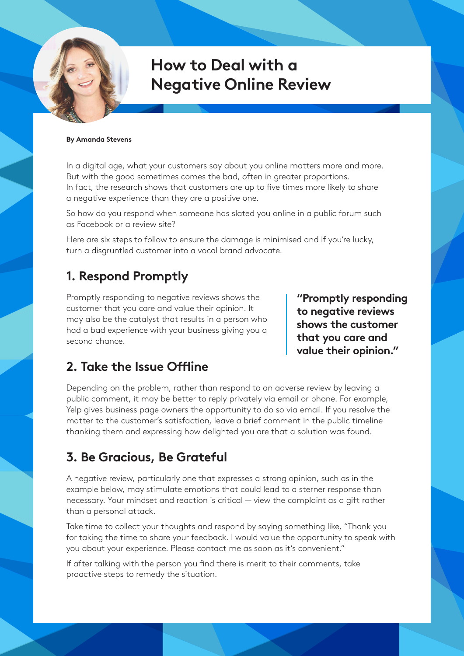# **How to Deal with a Negative Online Review**

#### **By Amanda Stevens**

In a digital age, what your customers say about you online matters more and more. But with the good sometimes comes the bad, often in greater proportions. In fact, the research shows that customers are up to five times more likely to share a negative experience than they are a positive one.

So how do you respond when someone has slated you online in a public forum such as Facebook or a review site?

Here are six steps to follow to ensure the damage is minimised and if you're lucky, turn a disgruntled customer into a vocal brand advocate.

### **1. Respond Promptly**

Promptly responding to negative reviews shows the customer that you care and value their opinion. It may also be the catalyst that results in a person who had a bad experience with your business giving you a second chance.

**"Promptly responding to negative reviews shows the customer that you care and value their opinion."**

#### **2. Take the Issue Offline**

Depending on the problem, rather than respond to an adverse review by leaving a public comment, it may be better to reply privately via email or phone. For example, Yelp gives business page owners the opportunity to do so via email. If you resolve the matter to the customer's satisfaction, leave a brief comment in the public timeline thanking them and expressing how delighted you are that a solution was found.

#### **3. Be Gracious, Be Grateful**

A negative review, particularly one that expresses a strong opinion, such as in the example below, may stimulate emotions that could lead to a sterner response than necessary. Your mindset and reaction is critical — view the complaint as a gift rather than a personal attack.

Take time to collect your thoughts and respond by saying something like, "Thank you for taking the time to share your feedback. I would value the opportunity to speak with you about your experience. Please contact me as soon as it's convenient."

If after talking with the person you find there is merit to their comments, take proactive steps to remedy the situation.